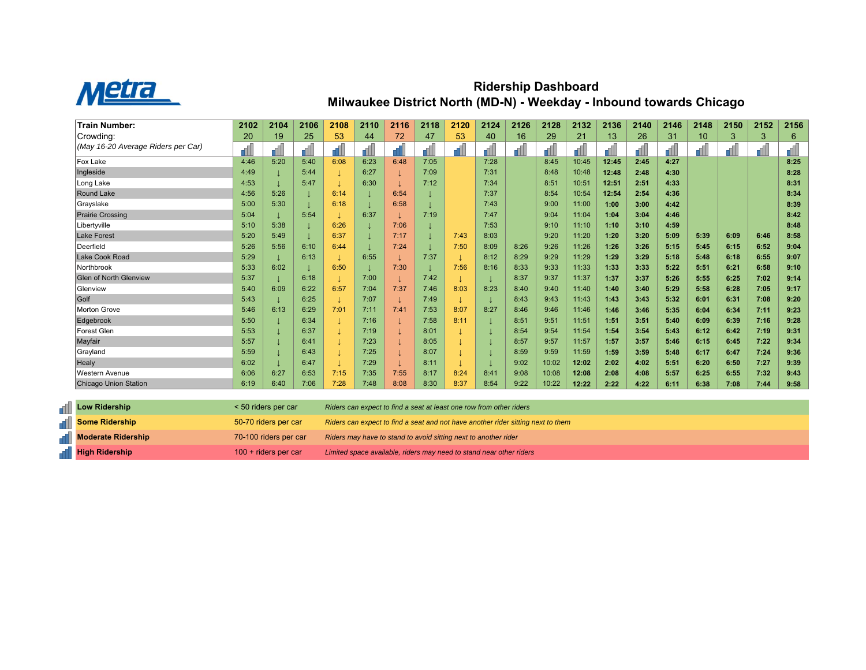

## **Ridership Dashboard Milwaukee District North (MD-N) - Weekday - Inbound towards Chicago**

| <b>Train Number:</b>               | 2102 | 2104 | 2106 | 2108 | 2110 | 2116 | 2118 | 2120 | 2124 | 2126 | 2128  | 2132  | 2136  | 2140 | 2146 | 2148 | 2150 | 2152 | 2156 |
|------------------------------------|------|------|------|------|------|------|------|------|------|------|-------|-------|-------|------|------|------|------|------|------|
| Crowding:                          | 20   | 19   | 25   | 53   | 44   | 72   | 47   | 53   | 40   | 16   | 29    | 21    | 13    | 26   | 31   | 10   | 3    | 3    | 6    |
| (May 16-20 Average Riders per Car) |      |      |      |      |      |      |      |      |      |      |       |       |       |      |      |      |      |      |      |
| Fox Lake                           | 4:46 | 5:20 | 5:40 | 6:08 | 6:23 | 6:48 | 7:05 |      | 7:28 |      | 8:45  | 10:45 | 12:45 | 2:45 | 4:27 |      |      |      | 8:25 |
| Ingleside                          | 4:49 |      | 5:44 |      | 6:27 |      | 7:09 |      | 7:31 |      | 8:48  | 10:48 | 12:48 | 2:48 | 4:30 |      |      |      | 8:28 |
| Long Lake                          | 4:53 |      | 5:47 |      | 6:30 |      | 7:12 |      | 7:34 |      | 8:51  | 10:51 | 12:51 | 2:51 | 4:33 |      |      |      | 8:31 |
| Round Lake                         | 4:56 | 5:26 |      | 6:14 |      | 6:54 |      |      | 7:37 |      | 8:54  | 10:54 | 12:54 | 2:54 | 4:36 |      |      |      | 8:34 |
| Grayslake                          | 5:00 | 5:30 |      | 6:18 |      | 6:58 |      |      | 7:43 |      | 9:00  | 11:00 | 1:00  | 3:00 | 4:42 |      |      |      | 8:39 |
| <b>Prairie Crossing</b>            | 5:04 |      | 5:54 |      | 6:37 |      | 7:19 |      | 7:47 |      | 9:04  | 11:04 | 1:04  | 3:04 | 4:46 |      |      |      | 8:42 |
| Libertyville                       | 5:10 | 5:38 |      | 6:26 |      | 7:06 |      |      | 7:53 |      | 9:10  | 11:10 | 1:10  | 3:10 | 4:59 |      |      |      | 8:48 |
| <b>Lake Forest</b>                 | 5:20 | 5:49 |      | 6:37 |      | 7:17 |      | 7:43 | 8:03 |      | 9:20  | 11:20 | 1:20  | 3:20 | 5:09 | 5:39 | 6:09 | 6:46 | 8:58 |
| Deerfield                          | 5:26 | 5:56 | 6:10 | 6:44 |      | 7:24 |      | 7:50 | 8:09 | 8:26 | 9:26  | 11:26 | 1:26  | 3:26 | 5:15 | 5:45 | 6:15 | 6:52 | 9:04 |
| Lake Cook Road                     | 5:29 |      | 6:13 |      | 6:55 |      | 7:37 |      | 8:12 | 8:29 | 9:29  | 11:29 | 1:29  | 3:29 | 5:18 | 5:48 | 6:18 | 6:55 | 9:07 |
| Northbrook                         | 5:33 | 6:02 |      | 6:50 |      | 7:30 |      | 7:56 | 8:16 | 8:33 | 9:33  | 11:33 | 1:33  | 3:33 | 5:22 | 5:51 | 6:21 | 6:58 | 9:10 |
| <b>Glen of North Glenview</b>      | 5:37 |      | 6:18 |      | 7:00 |      | 7:42 |      |      | 8:37 | 9:37  | 11:37 | 1:37  | 3:37 | 5:26 | 5:55 | 6:25 | 7:02 | 9:14 |
| Glenview                           | 5:40 | 6:09 | 6:22 | 6:57 | 7:04 | 7:37 | 7:46 | 8:03 | 8:23 | 8:40 | 9:40  | 11:40 | 1:40  | 3:40 | 5:29 | 5:58 | 6:28 | 7:05 | 9:17 |
| Golf                               | 5:43 |      | 6:25 |      | 7:07 |      | 7:49 |      |      | 8:43 | 9:43  | 11:43 | 1:43  | 3:43 | 5:32 | 6:01 | 6:31 | 7:08 | 9:20 |
| <b>Morton Grove</b>                | 5:46 | 6:13 | 6:29 | 7:01 | 7:11 | 7:41 | 7:53 | 8:07 | 8:27 | 8:46 | 9:46  | 11:46 | 1:46  | 3:46 | 5:35 | 6:04 | 6:34 | 7:11 | 9:23 |
| Edgebrook                          | 5:50 |      | 6:34 |      | 7:16 |      | 7:58 | 8:11 |      | 8:51 | 9:51  | 11:51 | 1:51  | 3:51 | 5:40 | 6:09 | 6:39 | 7:16 | 9:28 |
| <b>Forest Glen</b>                 | 5:53 |      | 6:37 |      | 7:19 |      | 8:01 |      |      | 8:54 | 9:54  | 11:54 | 1:54  | 3:54 | 5:43 | 6:12 | 6:42 | 7:19 | 9:31 |
| Mayfair                            | 5:57 |      | 6:41 |      | 7:23 |      | 8:05 |      |      | 8:57 | 9:57  | 11:57 | 1:57  | 3:57 | 5:46 | 6:15 | 6:45 | 7:22 | 9:34 |
| Grayland                           | 5:59 |      | 6:43 |      | 7:25 |      | 8:07 |      |      | 8:59 | 9:59  | 11:59 | 1:59  | 3:59 | 5:48 | 6:17 | 6:47 | 7:24 | 9:36 |
| Healy                              | 6:02 |      | 6:47 |      | 7:29 |      | 8:11 |      |      | 9:02 | 10:02 | 12:02 | 2:02  | 4:02 | 5:51 | 6:20 | 6:50 | 7:27 | 9:39 |
| <b>Western Avenue</b>              | 6:06 | 6:27 | 6:53 | 7:15 | 7:35 | 7:55 | 8:17 | 8:24 | 8:41 | 9:08 | 10:08 | 12:08 | 2:08  | 4:08 | 5:57 | 6:25 | 6:55 | 7:32 | 9:43 |
| Chicago Union Station              | 6:19 | 6:40 | 7:06 | 7:28 | 7:48 | 8:08 | 8:30 | 8:37 | 8:54 | 9:22 | 10:22 | 12:22 | 2:22  | 4:22 | 6:11 | 6:38 | 7:08 | 7:44 | 9:58 |

| <b>Low Ridership</b>      | $<$ 50 riders per car  | Riders can expect to find a seat at least one row from other riders              |
|---------------------------|------------------------|----------------------------------------------------------------------------------|
| <b>Some Ridership</b>     | 50-70 riders per car   | Riders can expect to find a seat and not have another rider sitting next to them |
| <b>Moderate Ridership</b> | 70-100 riders per car  | Riders may have to stand to avoid sitting next to another rider                  |
| <b>High Ridership</b>     | $100 +$ riders per car | Limited space available, riders may need to stand near other riders              |